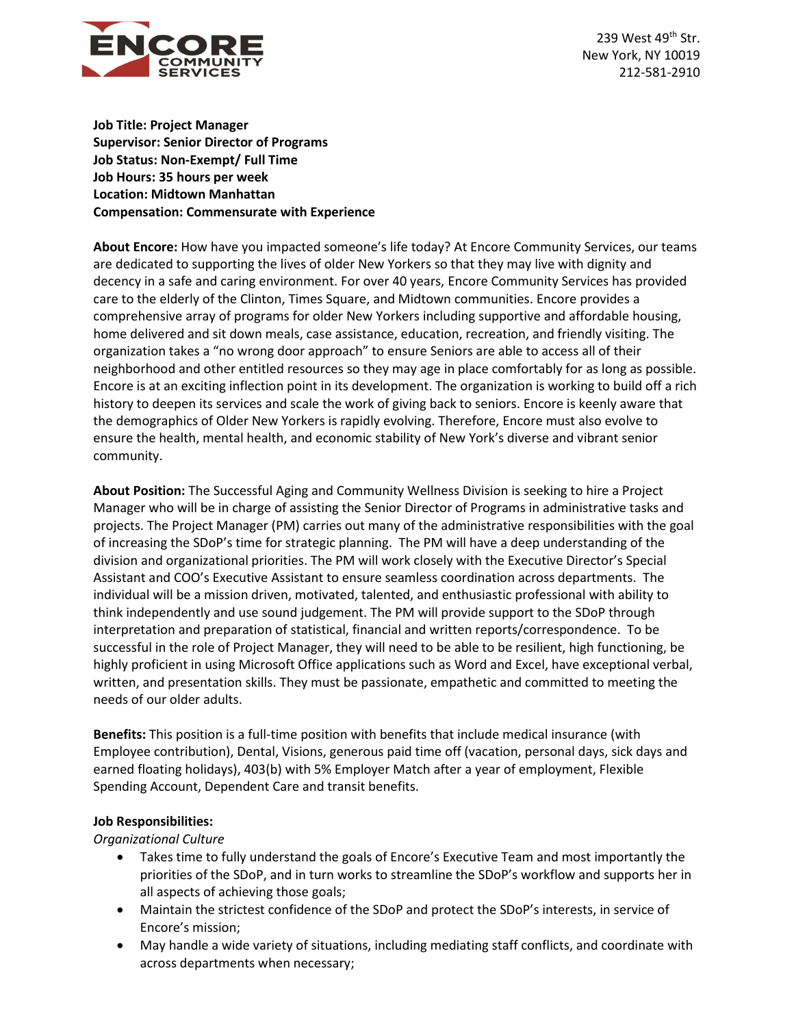

239 West 49th Str. New York, NY 10019 212-581-2910

**Job Title: Project Manager Supervisor: Senior Director of Programs Job Status: Non-Exempt/ Full Time Job Hours: 35 hours per week Location: Midtown Manhattan Compensation: Commensurate with Experience**

**About Encore:** How have you impacted someone's life today? At Encore Community Services, our teams are dedicated to supporting the lives of older New Yorkers so that they may live with dignity and decency in a safe and caring environment. For over 40 years, Encore Community Services has provided care to the elderly of the Clinton, Times Square, and Midtown communities. Encore provides a comprehensive array of programs for older New Yorkers including supportive and affordable housing, home delivered and sit down meals, case assistance, education, recreation, and friendly visiting. The organization takes a "no wrong door approach" to ensure Seniors are able to access all of their neighborhood and other entitled resources so they may age in place comfortably for as long as possible. Encore is at an exciting inflection point in its development. The organization is working to build off a rich history to deepen its services and scale the work of giving back to seniors. Encore is keenly aware that the demographics of Older New Yorkers is rapidly evolving. Therefore, Encore must also evolve to ensure the health, mental health, and economic stability of New York's diverse and vibrant senior community.

**About Position:** The Successful Aging and Community Wellness Division is seeking to hire a Project Manager who will be in charge of assisting the Senior Director of Programs in administrative tasks and projects. The Project Manager (PM) carries out many of the administrative responsibilities with the goal of increasing the SDoP's time for strategic planning. The PM will have a deep understanding of the division and organizational priorities. The PM will work closely with the Executive Director's Special Assistant and COO's Executive Assistant to ensure seamless coordination across departments. The individual will be a mission driven, motivated, talented, and enthusiastic professional with ability to think independently and use sound judgement. The PM will provide support to the SDoP through interpretation and preparation of statistical, financial and written reports/correspondence. To be successful in the role of Project Manager, they will need to be able to be resilient, high functioning, be highly proficient in using Microsoft Office applications such as Word and Excel, have exceptional verbal, written, and presentation skills. They must be passionate, empathetic and committed to meeting the needs of our older adults.

**Benefits:** This position is a full-time position with benefits that include medical insurance (with Employee contribution), Dental, Visions, generous paid time off (vacation, personal days, sick days and earned floating holidays), 403(b) with 5% Employer Match after a year of employment, Flexible Spending Account, Dependent Care and transit benefits.

## **Job Responsibilities:**

*Organizational Culture*

- Takes time to fully understand the goals of Encore's Executive Team and most importantly the priorities of the SDoP, and in turn works to streamline the SDoP's workflow and supports her in all aspects of achieving those goals;
- Maintain the strictest confidence of the SDoP and protect the SDoP's interests, in service of Encore's mission;
- May handle a wide variety of situations, including mediating staff conflicts, and coordinate with across departments when necessary;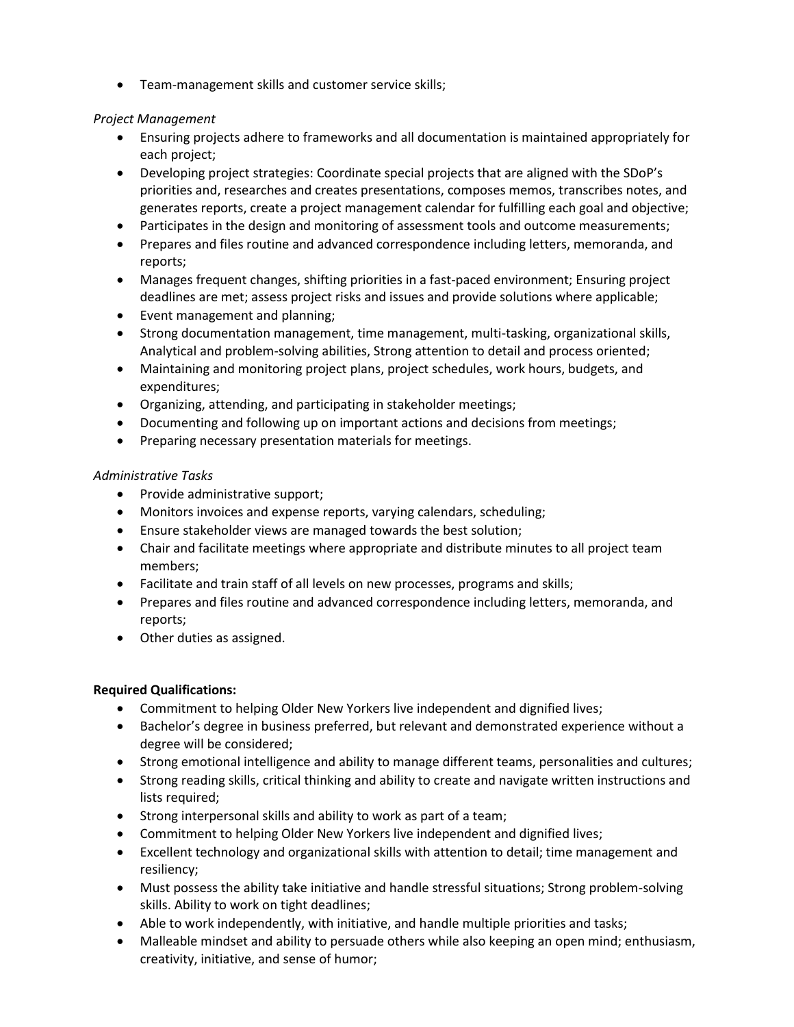• Team-management skills and customer service skills;

## *Project Management*

- Ensuring projects adhere to frameworks and all documentation is maintained appropriately for each project;
- Developing project strategies: Coordinate special projects that are aligned with the SDoP's priorities and, researches and creates presentations, composes memos, transcribes notes, and generates reports, create a project management calendar for fulfilling each goal and objective;
- Participates in the design and monitoring of assessment tools and outcome measurements;
- Prepares and files routine and advanced correspondence including letters, memoranda, and reports;
- Manages frequent changes, shifting priorities in a fast-paced environment; Ensuring project deadlines are met; assess project risks and issues and provide solutions where applicable;
- Event management and planning;
- Strong documentation management, time management, multi-tasking, organizational skills, Analytical and problem-solving abilities, Strong attention to detail and process oriented;
- Maintaining and monitoring project plans, project schedules, work hours, budgets, and expenditures;
- Organizing, attending, and participating in stakeholder meetings;
- Documenting and following up on important actions and decisions from meetings;
- Preparing necessary presentation materials for meetings.

## *Administrative Tasks*

- Provide administrative support;
- Monitors invoices and expense reports, varying calendars, scheduling;
- Ensure stakeholder views are managed towards the best solution;
- Chair and facilitate meetings where appropriate and distribute minutes to all project team members;
- Facilitate and train staff of all levels on new processes, programs and skills;
- Prepares and files routine and advanced correspondence including letters, memoranda, and reports;
- Other duties as assigned.

## **Required Qualifications:**

- Commitment to helping Older New Yorkers live independent and dignified lives;
- Bachelor's degree in business preferred, but relevant and demonstrated experience without a degree will be considered;
- Strong emotional intelligence and ability to manage different teams, personalities and cultures;
- Strong reading skills, critical thinking and ability to create and navigate written instructions and lists required;
- Strong interpersonal skills and ability to work as part of a team;
- Commitment to helping Older New Yorkers live independent and dignified lives;
- Excellent technology and organizational skills with attention to detail; time management and resiliency;
- Must possess the ability take initiative and handle stressful situations; Strong problem-solving skills. Ability to work on tight deadlines;
- Able to work independently, with initiative, and handle multiple priorities and tasks;
- Malleable mindset and ability to persuade others while also keeping an open mind; enthusiasm, creativity, initiative, and sense of humor;